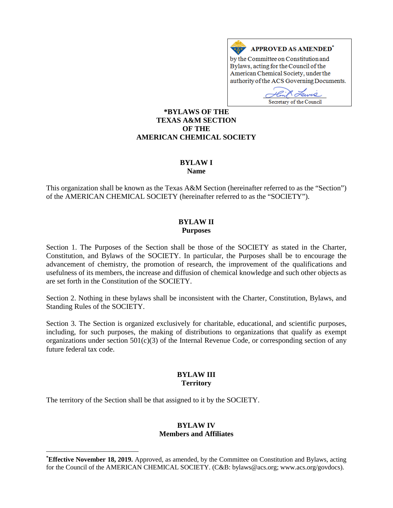

Secretary of the Council

### **[\\*](#page-0-0)BYLAWS OF THE TEXAS A&M SECTION OF THE AMERICAN CHEMICAL SOCIETY**

# **BYLAW I**

**Name**

This organization shall be known as the Texas A&M Section (hereinafter referred to as the "Section") of the AMERICAN CHEMICAL SOCIETY (hereinafter referred to as the "SOCIETY").

### **BYLAW II Purposes**

Section 1. The Purposes of the Section shall be those of the SOCIETY as stated in the Charter, Constitution, and Bylaws of the SOCIETY. In particular, the Purposes shall be to encourage the advancement of chemistry, the promotion of research, the improvement of the qualifications and usefulness of its members, the increase and diffusion of chemical knowledge and such other objects as are set forth in the Constitution of the SOCIETY.

Section 2. Nothing in these bylaws shall be inconsistent with the Charter, Constitution, Bylaws, and Standing Rules of the SOCIETY.

Section 3. The Section is organized exclusively for charitable, educational, and scientific purposes, including, for such purposes, the making of distributions to organizations that qualify as exempt organizations under section  $501(c)(3)$  of the Internal Revenue Code, or corresponding section of any future federal tax code.

# **BYLAW III Territory**

The territory of the Section shall be that assigned to it by the SOCIETY.

 $\overline{a}$ 

#### **BYLAW IV Members and Affiliates**

<span id="page-0-0"></span>**<sup>\*</sup> Effective November 18, 2019.** Approved, as amended, by the Committee on Constitution and Bylaws, acting for the Council of the AMERICAN CHEMICAL SOCIETY. (C&B: bylaws@acs.org; www.acs.org/govdocs).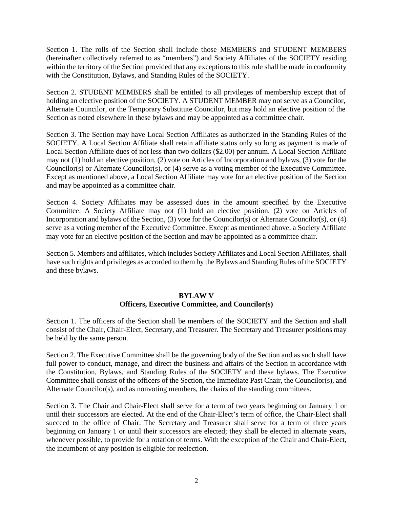Section 1. The rolls of the Section shall include those MEMBERS and STUDENT MEMBERS (hereinafter collectively referred to as "members") and Society Affiliates of the SOCIETY residing within the territory of the Section provided that any exceptions to this rule shall be made in conformity with the Constitution, Bylaws, and Standing Rules of the SOCIETY.

Section 2. STUDENT MEMBERS shall be entitled to all privileges of membership except that of holding an elective position of the SOCIETY. A STUDENT MEMBER may not serve as a Councilor, Alternate Councilor, or the Temporary Substitute Councilor, but may hold an elective position of the Section as noted elsewhere in these bylaws and may be appointed as a committee chair.

Section 3. The Section may have Local Section Affiliates as authorized in the Standing Rules of the SOCIETY. A Local Section Affiliate shall retain affiliate status only so long as payment is made of Local Section Affiliate dues of not less than two dollars (\$2.00) per annum. A Local Section Affiliate may not (1) hold an elective position, (2) vote on Articles of Incorporation and bylaws, (3) vote for the Councilor(s) or Alternate Councilor(s), or (4) serve as a voting member of the Executive Committee. Except as mentioned above, a Local Section Affiliate may vote for an elective position of the Section and may be appointed as a committee chair.

Section 4. Society Affiliates may be assessed dues in the amount specified by the Executive Committee. A Society Affiliate may not (1) hold an elective position, (2) vote on Articles of Incorporation and bylaws of the Section, (3) vote for the Councilor(s) or Alternate Councilor(s), or (4) serve as a voting member of the Executive Committee. Except as mentioned above, a Society Affiliate may vote for an elective position of the Section and may be appointed as a committee chair.

Section 5. Members and affiliates, which includes Society Affiliates and Local Section Affiliates, shall have such rights and privileges as accorded to them by the Bylaws and Standing Rules of the SOCIETY and these bylaws.

# **BYLAW V Officers, Executive Committee, and Councilor(s)**

Section 1. The officers of the Section shall be members of the SOCIETY and the Section and shall consist of the Chair, Chair-Elect, Secretary, and Treasurer. The Secretary and Treasurer positions may be held by the same person.

Section 2. The Executive Committee shall be the governing body of the Section and as such shall have full power to conduct, manage, and direct the business and affairs of the Section in accordance with the Constitution, Bylaws, and Standing Rules of the SOCIETY and these bylaws. The Executive Committee shall consist of the officers of the Section, the Immediate Past Chair, the Councilor(s), and Alternate Councilor(s), and as nonvoting members, the chairs of the standing committees.

Section 3. The Chair and Chair-Elect shall serve for a term of two years beginning on January 1 or until their successors are elected. At the end of the Chair-Elect's term of office, the Chair-Elect shall succeed to the office of Chair. The Secretary and Treasurer shall serve for a term of three years beginning on January 1 or until their successors are elected; they shall be elected in alternate years, whenever possible, to provide for a rotation of terms. With the exception of the Chair and Chair-Elect, the incumbent of any position is eligible for reelection.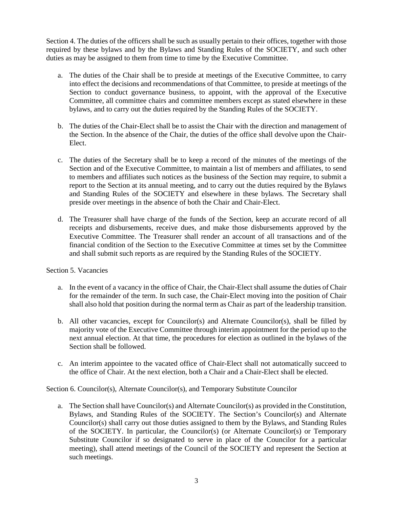Section 4. The duties of the officers shall be such as usually pertain to their offices, together with those required by these bylaws and by the Bylaws and Standing Rules of the SOCIETY, and such other duties as may be assigned to them from time to time by the Executive Committee.

- a. The duties of the Chair shall be to preside at meetings of the Executive Committee, to carry into effect the decisions and recommendations of that Committee, to preside at meetings of the Section to conduct governance business, to appoint, with the approval of the Executive Committee, all committee chairs and committee members except as stated elsewhere in these bylaws, and to carry out the duties required by the Standing Rules of the SOCIETY.
- b. The duties of the Chair-Elect shall be to assist the Chair with the direction and management of the Section. In the absence of the Chair, the duties of the office shall devolve upon the Chair-Elect.
- c. The duties of the Secretary shall be to keep a record of the minutes of the meetings of the Section and of the Executive Committee, to maintain a list of members and affiliates, to send to members and affiliates such notices as the business of the Section may require, to submit a report to the Section at its annual meeting, and to carry out the duties required by the Bylaws and Standing Rules of the SOCIETY and elsewhere in these bylaws. The Secretary shall preside over meetings in the absence of both the Chair and Chair-Elect.
- d. The Treasurer shall have charge of the funds of the Section, keep an accurate record of all receipts and disbursements, receive dues, and make those disbursements approved by the Executive Committee. The Treasurer shall render an account of all transactions and of the financial condition of the Section to the Executive Committee at times set by the Committee and shall submit such reports as are required by the Standing Rules of the SOCIETY.

# Section 5. Vacancies

- a. In the event of a vacancy in the office of Chair, the Chair-Elect shall assume the duties of Chair for the remainder of the term. In such case, the Chair-Elect moving into the position of Chair shall also hold that position during the normal term as Chair as part of the leadership transition.
- b. All other vacancies, except for Councilor(s) and Alternate Councilor(s), shall be filled by majority vote of the Executive Committee through interim appointment for the period up to the next annual election. At that time, the procedures for election as outlined in the bylaws of the Section shall be followed.
- c. An interim appointee to the vacated office of Chair-Elect shall not automatically succeed to the office of Chair. At the next election, both a Chair and a Chair-Elect shall be elected.

Section 6. Councilor(s), Alternate Councilor(s), and Temporary Substitute Councilor

a. The Section shall have Councilor(s) and Alternate Councilor(s) as provided in the Constitution, Bylaws, and Standing Rules of the SOCIETY. The Section's Councilor(s) and Alternate Councilor(s) shall carry out those duties assigned to them by the Bylaws, and Standing Rules of the SOCIETY. In particular, the Councilor(s) (or Alternate Councilor(s) or Temporary Substitute Councilor if so designated to serve in place of the Councilor for a particular meeting), shall attend meetings of the Council of the SOCIETY and represent the Section at such meetings.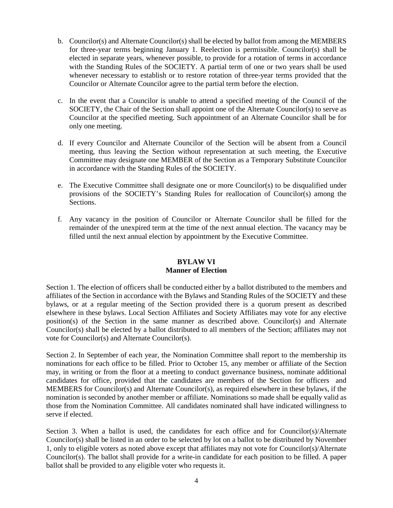- b. Councilor(s) and Alternate Councilor(s) shall be elected by ballot from among the MEMBERS for three-year terms beginning January 1. Reelection is permissible. Councilor(s) shall be elected in separate years, whenever possible, to provide for a rotation of terms in accordance with the Standing Rules of the SOCIETY. A partial term of one or two years shall be used whenever necessary to establish or to restore rotation of three-year terms provided that the Councilor or Alternate Councilor agree to the partial term before the election.
- c. In the event that a Councilor is unable to attend a specified meeting of the Council of the SOCIETY, the Chair of the Section shall appoint one of the Alternate Councilor(s) to serve as Councilor at the specified meeting. Such appointment of an Alternate Councilor shall be for only one meeting.
- d. If every Councilor and Alternate Councilor of the Section will be absent from a Council meeting, thus leaving the Section without representation at such meeting, the Executive Committee may designate one MEMBER of the Section as a Temporary Substitute Councilor in accordance with the Standing Rules of the SOCIETY.
- e. The Executive Committee shall designate one or more Councilor(s) to be disqualified under provisions of the SOCIETY's Standing Rules for reallocation of Councilor(s) among the Sections.
- f. Any vacancy in the position of Councilor or Alternate Councilor shall be filled for the remainder of the unexpired term at the time of the next annual election. The vacancy may be filled until the next annual election by appointment by the Executive Committee.

# **BYLAW VI Manner of Election**

Section 1. The election of officers shall be conducted either by a ballot distributed to the members and affiliates of the Section in accordance with the Bylaws and Standing Rules of the SOCIETY and these bylaws, or at a regular meeting of the Section provided there is a quorum present as described elsewhere in these bylaws. Local Section Affiliates and Society Affiliates may vote for any elective position(s) of the Section in the same manner as described above. Councilor(s) and Alternate Councilor(s) shall be elected by a ballot distributed to all members of the Section; affiliates may not vote for Councilor(s) and Alternate Councilor(s).

Section 2. In September of each year, the Nomination Committee shall report to the membership its nominations for each office to be filled. Prior to October 15, any member or affiliate of the Section may, in writing or from the floor at a meeting to conduct governance business, nominate additional candidates for office, provided that the candidates are members of the Section for officers and MEMBERS for Councilor(s) and Alternate Councilor(s), as required elsewhere in these bylaws, if the nomination is seconded by another member or affiliate. Nominations so made shall be equally valid as those from the Nomination Committee. All candidates nominated shall have indicated willingness to serve if elected.

Section 3. When a ballot is used, the candidates for each office and for Councilor(s)/Alternate Councilor(s) shall be listed in an order to be selected by lot on a ballot to be distributed by November 1, only to eligible voters as noted above except that affiliates may not vote for Councilor(s)/Alternate Councilor(s). The ballot shall provide for a write-in candidate for each position to be filled. A paper ballot shall be provided to any eligible voter who requests it.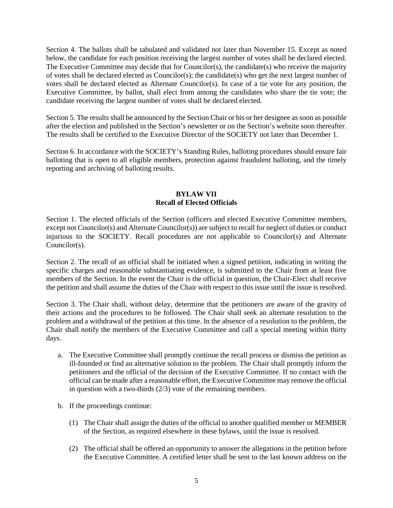Section 4. The ballots shall be tabulated and validated not later than November 15. Except as noted below, the candidate for each position receiving the largest number of votes shall be declared elected. The Executive Committee may decide that for Councilor(s), the candidate(s) who receive the majority of votes shall be declared elected as Councilor(s); the candidate(s) who get the next largest number of votes shall be declared elected as Alternate Councilor(s). In case of a tie vote for any position, the Executive Committee, by ballot, shall elect from among the candidates who share the tie vote; the candidate receiving the largest number of votes shall be declared elected.

Section 5. The results shall be announced by the Section Chair or his or her designee as soon as possible after the election and published in the Section's newsletter or on the Section's website soon thereafter. The results shall be certified to the Executive Director of the SOCIETY not later than December 1.

Section 6. In accordance with the SOCIETY's Standing Rules, balloting procedures should ensure fair balloting that is open to all eligible members, protection against fraudulent balloting, and the timely reporting and archiving of balloting results.

### **BYLAW VII Recall of Elected Officials**

Section 1. The elected officials of the Section (officers and elected Executive Committee members, except not Councilor(s) and Alternate Councilor(s)) are subject to recall for neglect of duties or conduct injurious to the SOCIETY. Recall procedures are not applicable to Councilor(s) and Alternate Councilor(s).

Section 2. The recall of an official shall be initiated when a signed petition, indicating in writing the specific charges and reasonable substantiating evidence, is submitted to the Chair from at least five members of the Section. In the event the Chair is the official in question, the Chair-Elect shall receive the petition and shall assume the duties of the Chair with respect to this issue until the issue is resolved.

Section 3. The Chair shall, without delay, determine that the petitioners are aware of the gravity of their actions and the procedures to be followed. The Chair shall seek an alternate resolution to the problem and a withdrawal of the petition at this time. In the absence of a resolution to the problem, the Chair shall notify the members of the Executive Committee and call a special meeting within thirty days.

- a. The Executive Committee shall promptly continue the recall process or dismiss the petition as ill-founded or find an alternative solution to the problem. The Chair shall promptly inform the petitioners and the official of the decision of the Executive Committee. If no contact with the official can be made after a reasonable effort, the Executive Committee may remove the official in question with a two-thirds (2/3) vote of the remaining members.
- b. If the proceedings continue:
	- (1) The Chair shall assign the duties of the official to another qualified member or MEMBER of the Section, as required elsewhere in these bylaws, until the issue is resolved.
	- (2) The official shall be offered an opportunity to answer the allegations in the petition before the Executive Committee. A certified letter shall be sent to the last known address on the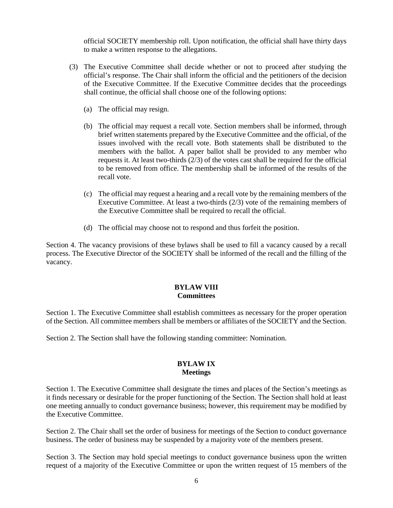official SOCIETY membership roll. Upon notification, the official shall have thirty days to make a written response to the allegations.

- (3) The Executive Committee shall decide whether or not to proceed after studying the official's response. The Chair shall inform the official and the petitioners of the decision of the Executive Committee. If the Executive Committee decides that the proceedings shall continue, the official shall choose one of the following options:
	- (a) The official may resign.
	- (b) The official may request a recall vote. Section members shall be informed, through brief written statements prepared by the Executive Committee and the official, of the issues involved with the recall vote. Both statements shall be distributed to the members with the ballot. A paper ballot shall be provided to any member who requests it. At least two-thirds (2/3) of the votes cast shall be required for the official to be removed from office. The membership shall be informed of the results of the recall vote.
	- (c) The official may request a hearing and a recall vote by the remaining members of the Executive Committee. At least a two-thirds (2/3) vote of the remaining members of the Executive Committee shall be required to recall the official.
	- (d) The official may choose not to respond and thus forfeit the position.

Section 4. The vacancy provisions of these bylaws shall be used to fill a vacancy caused by a recall process. The Executive Director of the SOCIETY shall be informed of the recall and the filling of the vacancy.

#### **BYLAW VIII Committees**

Section 1. The Executive Committee shall establish committees as necessary for the proper operation of the Section. All committee members shall be members or affiliates of the SOCIETY and the Section.

Section 2. The Section shall have the following standing committee: Nomination.

# **BYLAW IX Meetings**

Section 1. The Executive Committee shall designate the times and places of the Section's meetings as it finds necessary or desirable for the proper functioning of the Section. The Section shall hold at least one meeting annually to conduct governance business; however, this requirement may be modified by the Executive Committee.

Section 2. The Chair shall set the order of business for meetings of the Section to conduct governance business. The order of business may be suspended by a majority vote of the members present.

Section 3. The Section may hold special meetings to conduct governance business upon the written request of a majority of the Executive Committee or upon the written request of 15 members of the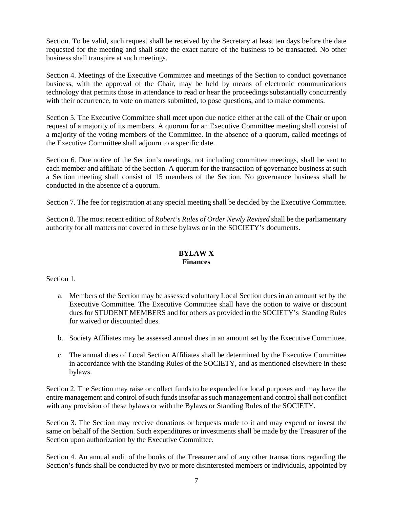Section. To be valid, such request shall be received by the Secretary at least ten days before the date requested for the meeting and shall state the exact nature of the business to be transacted. No other business shall transpire at such meetings.

Section 4. Meetings of the Executive Committee and meetings of the Section to conduct governance business, with the approval of the Chair, may be held by means of electronic communications technology that permits those in attendance to read or hear the proceedings substantially concurrently with their occurrence, to vote on matters submitted, to pose questions, and to make comments.

Section 5. The Executive Committee shall meet upon due notice either at the call of the Chair or upon request of a majority of its members. A quorum for an Executive Committee meeting shall consist of a majority of the voting members of the Committee. In the absence of a quorum, called meetings of the Executive Committee shall adjourn to a specific date.

Section 6. Due notice of the Section's meetings, not including committee meetings, shall be sent to each member and affiliate of the Section. A quorum for the transaction of governance business at such a Section meeting shall consist of 15 members of the Section. No governance business shall be conducted in the absence of a quorum.

Section 7. The fee for registration at any special meeting shall be decided by the Executive Committee.

Section 8. The most recent edition of *Robert's Rules of Order Newly Revised* shall be the parliamentary authority for all matters not covered in these bylaws or in the SOCIETY's documents.

#### **BYLAW X Finances**

Section 1.

- a. Members of the Section may be assessed voluntary Local Section dues in an amount set by the Executive Committee. The Executive Committee shall have the option to waive or discount dues for STUDENT MEMBERS and for others as provided in the SOCIETY's Standing Rules for waived or discounted dues.
- b. Society Affiliates may be assessed annual dues in an amount set by the Executive Committee.
- c. The annual dues of Local Section Affiliates shall be determined by the Executive Committee in accordance with the Standing Rules of the SOCIETY, and as mentioned elsewhere in these bylaws.

Section 2. The Section may raise or collect funds to be expended for local purposes and may have the entire management and control of such funds insofar as such management and control shall not conflict with any provision of these bylaws or with the Bylaws or Standing Rules of the SOCIETY.

Section 3. The Section may receive donations or bequests made to it and may expend or invest the same on behalf of the Section. Such expenditures or investments shall be made by the Treasurer of the Section upon authorization by the Executive Committee.

Section 4. An annual audit of the books of the Treasurer and of any other transactions regarding the Section's funds shall be conducted by two or more disinterested members or individuals, appointed by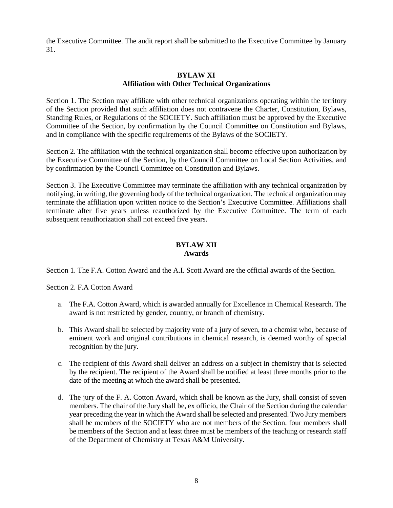the Executive Committee. The audit report shall be submitted to the Executive Committee by January 31.

### **BYLAW XI Affiliation with Other Technical Organizations**

Section 1. The Section may affiliate with other technical organizations operating within the territory of the Section provided that such affiliation does not contravene the Charter, Constitution, Bylaws, Standing Rules, or Regulations of the SOCIETY. Such affiliation must be approved by the Executive Committee of the Section, by confirmation by the Council Committee on Constitution and Bylaws, and in compliance with the specific requirements of the Bylaws of the SOCIETY.

Section 2. The affiliation with the technical organization shall become effective upon authorization by the Executive Committee of the Section, by the Council Committee on Local Section Activities, and by confirmation by the Council Committee on Constitution and Bylaws.

Section 3. The Executive Committee may terminate the affiliation with any technical organization by notifying, in writing, the governing body of the technical organization. The technical organization may terminate the affiliation upon written notice to the Section's Executive Committee. Affiliations shall terminate after five years unless reauthorized by the Executive Committee. The term of each subsequent reauthorization shall not exceed five years.

#### **BYLAW XII Awards**

Section 1. The F.A. Cotton Award and the A.I. Scott Award are the official awards of the Section.

Section 2. F.A Cotton Award

- a. The F.A. Cotton Award, which is awarded annually for Excellence in Chemical Research. The award is not restricted by gender, country, or branch of chemistry.
- b. This Award shall be selected by majority vote of a jury of seven, to a chemist who, because of eminent work and original contributions in chemical research, is deemed worthy of special recognition by the jury.
- c. The recipient of this Award shall deliver an address on a subject in chemistry that is selected by the recipient. The recipient of the Award shall be notified at least three months prior to the date of the meeting at which the award shall be presented.
- d. The jury of the F. A. Cotton Award, which shall be known as the Jury, shall consist of seven members. The chair of the Jury shall be, ex officio, the Chair of the Section during the calendar year preceding the year in which the Award shall be selected and presented. Two Jury members shall be members of the SOCIETY who are not members of the Section. four members shall be members of the Section and at least three must be members of the teaching or research staff of the Department of Chemistry at Texas A&M University.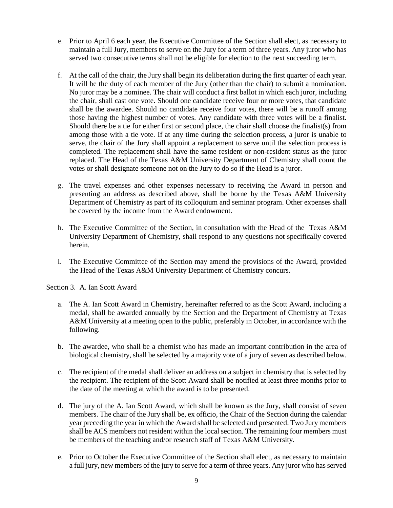- e. Prior to April 6 each year, the Executive Committee of the Section shall elect, as necessary to maintain a full Jury, members to serve on the Jury for a term of three years. Any juror who has served two consecutive terms shall not be eligible for election to the next succeeding term.
- f. At the call of the chair, the Jury shall begin its deliberation during the first quarter of each year. It will be the duty of each member of the Jury (other than the chair) to submit a nomination. No juror may be a nominee. The chair will conduct a first ballot in which each juror, including the chair, shall cast one vote. Should one candidate receive four or more votes, that candidate shall be the awardee. Should no candidate receive four votes, there will be a runoff among those having the highest number of votes. Any candidate with three votes will be a finalist. Should there be a tie for either first or second place, the chair shall choose the finalist(s) from among those with a tie vote. If at any time during the selection process, a juror is unable to serve, the chair of the Jury shall appoint a replacement to serve until the selection process is completed. The replacement shall have the same resident or non-resident status as the juror replaced. The Head of the Texas A&M University Department of Chemistry shall count the votes or shall designate someone not on the Jury to do so if the Head is a juror.
- g. The travel expenses and other expenses necessary to receiving the Award in person and presenting an address as described above, shall be borne by the Texas A&M University Department of Chemistry as part of its colloquium and seminar program. Other expenses shall be covered by the income from the Award endowment.
- h. The Executive Committee of the Section, in consultation with the Head of the Texas A&M University Department of Chemistry, shall respond to any questions not specifically covered herein.
- i. The Executive Committee of the Section may amend the provisions of the Award, provided the Head of the Texas A&M University Department of Chemistry concurs.

Section 3. A. Ian Scott Award

- a. The A. Ian Scott Award in Chemistry, hereinafter referred to as the Scott Award, including a medal, shall be awarded annually by the Section and the Department of Chemistry at Texas A&M University at a meeting open to the public, preferably in October, in accordance with the following.
- b. The awardee, who shall be a chemist who has made an important contribution in the area of biological chemistry, shall be selected by a majority vote of a jury of seven as described below.
- c. The recipient of the medal shall deliver an address on a subject in chemistry that is selected by the recipient. The recipient of the Scott Award shall be notified at least three months prior to the date of the meeting at which the award is to be presented.
- d. The jury of the A. Ian Scott Award, which shall be known as the Jury, shall consist of seven members. The chair of the Jury shall be, ex officio, the Chair of the Section during the calendar year preceding the year in which the Award shall be selected and presented. Two Jury members shall be ACS members not resident within the local section. The remaining four members must be members of the teaching and/or research staff of Texas A&M University.
- e. Prior to October the Executive Committee of the Section shall elect, as necessary to maintain a full jury, new members of the jury to serve for a term of three years. Any juror who has served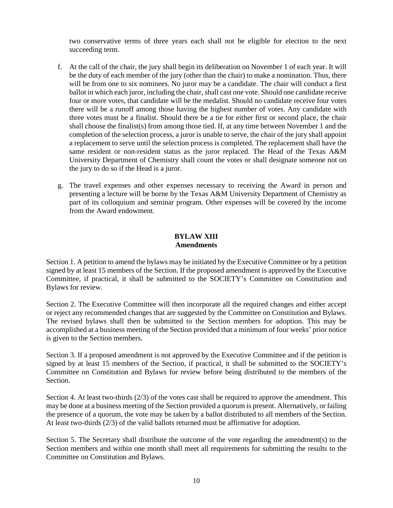two conservative terms of three years each shall not be eligible for election to the next succeeding term.

- f. At the call of the chair, the jury shall begin its deliberation on November 1 of each year. It will be the duty of each member of the jury (other than the chair) to make a nomination. Thus, there will be from one to six nominees. No juror may be a candidate. The chair will conduct a first ballot in which each juror, including the chair, shall cast one vote. Should one candidate receive four or more votes, that candidate will be the medalist. Should no candidate receive four votes there will be a runoff among those having the highest number of votes. Any candidate with three votes must be a finalist. Should there be a tie for either first or second place, the chair shall choose the finalist(s) from among those tied. If, at any time between November 1 and the completion of the selection process, a juror is unable to serve, the chair of the jury shall appoint a replacement to serve until the selection process is completed. The replacement shall have the same resident or non-resident status as the juror replaced. The Head of the Texas A&M University Department of Chemistry shall count the votes or shall designate someone not on the jury to do so if the Head is a juror.
- g. The travel expenses and other expenses necessary to receiving the Award in person and presenting a lecture will be borne by the Texas A&M University Department of Chemistry as part of its colloquium and seminar program. Other expenses will be covered by the income from the Award endowment.

# **BYLAW XIII Amendments**

Section 1. A petition to amend the bylaws may be initiated by the Executive Committee or by a petition signed by at least 15 members of the Section. If the proposed amendment is approved by the Executive Committee, if practical, it shall be submitted to the SOCIETY's Committee on Constitution and Bylaws for review.

Section 2. The Executive Committee will then incorporate all the required changes and either accept or reject any recommended changes that are suggested by the Committee on Constitution and Bylaws. The revised bylaws shall then be submitted to the Section members for adoption. This may be accomplished at a business meeting of the Section provided that a minimum of four weeks' prior notice is given to the Section members.

Section 3. If a proposed amendment is not approved by the Executive Committee and if the petition is signed by at least 15 members of the Section, if practical, it shall be submitted to the SOCIETY's Committee on Constitution and Bylaws for review before being distributed to the members of the Section.

Section 4. At least two-thirds (2/3) of the votes cast shall be required to approve the amendment. This may be done at a business meeting of the Section provided a quorum is present. Alternatively, or failing the presence of a quorum, the vote may be taken by a ballot distributed to all members of the Section. At least two-thirds (2/3) of the valid ballots returned must be affirmative for adoption.

Section 5. The Secretary shall distribute the outcome of the vote regarding the amendment(s) to the Section members and within one month shall meet all requirements for submitting the results to the Committee on Constitution and Bylaws.